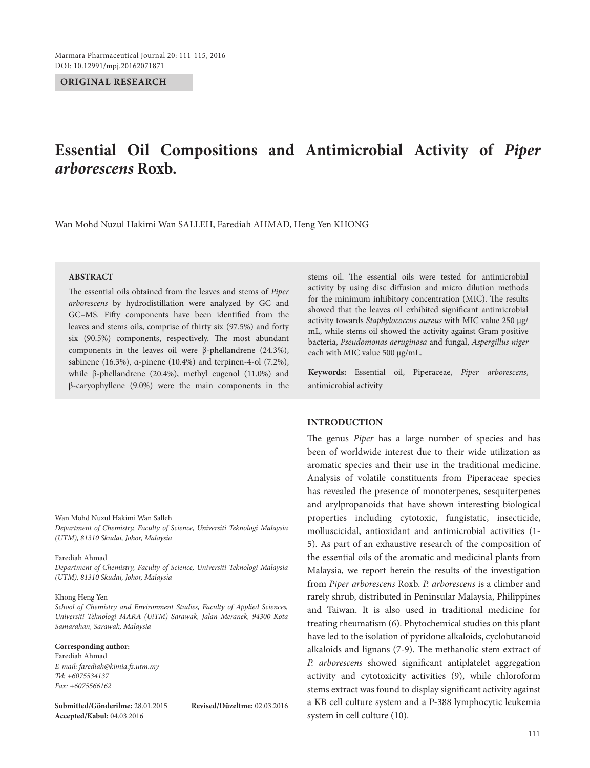#### **ORIGINAL RESEARCH**

# **Essential Oil Compositions and Antimicrobial Activity of** *Piper arborescens* **Roxb.**

Wan Mohd Nuzul Hakimi Wan SALLEH, Farediah AHMAD, Heng Yen KHONG

# **ABSTRACT**

The essential oils obtained from the leaves and stems of *Piper arborescens* by hydrodistillation were analyzed by GC and GC–MS. Fifty components have been identified from the leaves and stems oils, comprise of thirty six (97.5%) and forty six (90.5%) components, respectively. The most abundant components in the leaves oil were β-phellandrene (24.3%), sabinene (16.3%), α-pinene (10.4%) and terpinen-4-ol (7.2%), while β-phellandrene (20.4%), methyl eugenol (11.0%) and β-caryophyllene (9.0%) were the main components in the

Wan Mohd Nuzul Hakimi Wan Salleh *Department of Chemistry, Faculty of Science, Universiti Teknologi Malaysia (UTM), 81310 Skudai, Johor, Malaysia*

#### Farediah Ahmad

*Department of Chemistry, Faculty of Science, Universiti Teknologi Malaysia (UTM), 81310 Skudai, Johor, Malaysia*

#### Khong Heng Yen

*School of Chemistry and Environment Studies, Faculty of Applied Sciences, Universiti Teknologi MARA (UiTM) Sarawak, Jalan Meranek, 94300 Kota Samarahan, Sarawak, Malaysia*

#### **Corresponding author:**

Farediah Ahmad *E-mail: farediah@kimia.fs.utm.my Tel: +6075534137 Fax: +6075566162*

**Submitted/Gönderilme:** 28.01.2015 **Revised/Düzeltme:** 02.03.2016 **Accepted/Kabul:** 04.03.2016

stems oil. The essential oils were tested for antimicrobial activity by using disc diffusion and micro dilution methods for the minimum inhibitory concentration (MIC). The results showed that the leaves oil exhibited significant antimicrobial activity towards *Staphylococcus aureus* with MIC value 250 µg/ mL, while stems oil showed the activity against Gram positive bacteria, *Pseudomonas aeruginosa* and fungal, *Aspergillus niger* each with MIC value 500 µg/mL.

**Keywords:** Essential oil, Piperaceae, *Piper arborescens*, antimicrobial activity

#### **INTRODUCTION**

The genus *Piper* has a large number of species and has been of worldwide interest due to their wide utilization as aromatic species and their use in the traditional medicine. Analysis of volatile constituents from Piperaceae species has revealed the presence of monoterpenes, sesquiterpenes and arylpropanoids that have shown interesting biological properties including cytotoxic, fungistatic, insecticide, molluscicidal, antioxidant and antimicrobial activities (1- 5). As part of an exhaustive research of the composition of the essential oils of the aromatic and medicinal plants from Malaysia, we report herein the results of the investigation from *Piper arborescens* Roxb. *P. arborescens* is a climber and rarely shrub, distributed in Peninsular Malaysia, Philippines and Taiwan. It is also used in traditional medicine for treating rheumatism (6). Phytochemical studies on this plant have led to the isolation of pyridone alkaloids, cyclobutanoid alkaloids and lignans (7-9). The methanolic stem extract of *P. arborescens* showed significant antiplatelet aggregation activity and cytotoxicity activities (9), while chloroform stems extract was found to display significant activity against a KB cell culture system and a P-388 lymphocytic leukemia system in cell culture (10).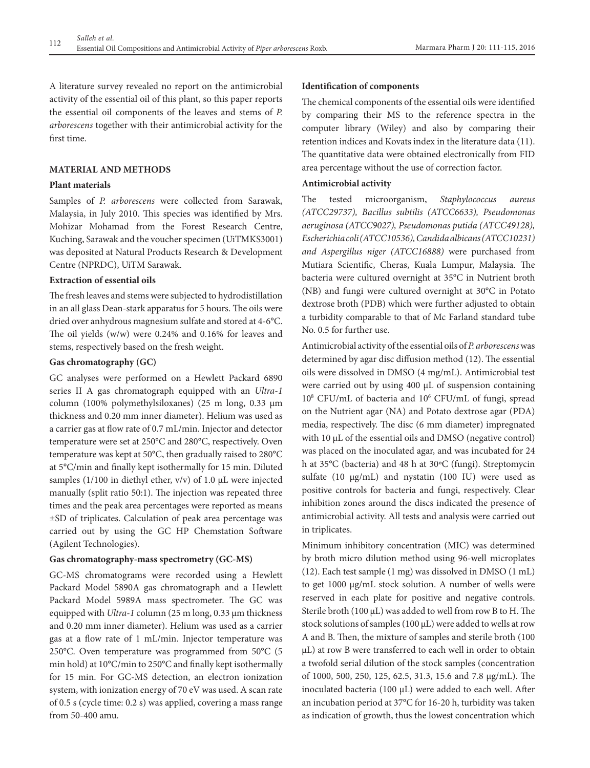A literature survey revealed no report on the antimicrobial activity of the essential oil of this plant, so this paper reports the essential oil components of the leaves and stems of *P. arborescens* together with their antimicrobial activity for the first time.

# **MATERIAL AND METHODS**

#### **Plant materials**

Samples of *P. arborescens* were collected from Sarawak, Malaysia, in July 2010. This species was identified by Mrs. Mohizar Mohamad from the Forest Research Centre, Kuching, Sarawak and the voucher specimen (UiTMKS3001) was deposited at Natural Products Research & Development Centre (NPRDC), UiTM Sarawak.

#### **Extraction of essential oils**

The fresh leaves and stems were subjected to hydrodistillation in an all glass Dean-stark apparatus for 5 hours. The oils were dried over anhydrous magnesium sulfate and stored at 4-6°C. The oil yields (w/w) were 0.24% and 0.16% for leaves and stems, respectively based on the fresh weight.

#### **Gas chromatography (GC)**

GC analyses were performed on a Hewlett Packard 6890 series II A gas chromatograph equipped with an *Ultra-1* column (100% polymethylsiloxanes) (25 m long, 0.33 μm thickness and 0.20 mm inner diameter). Helium was used as a carrier gas at flow rate of 0.7 mL/min. Injector and detector temperature were set at 250°C and 280°C, respectively. Oven temperature was kept at 50°C, then gradually raised to 280°C at 5°C/min and finally kept isothermally for 15 min. Diluted samples (1/100 in diethyl ether,  $v/v$ ) of 1.0 µL were injected manually (split ratio 50:1). The injection was repeated three times and the peak area percentages were reported as means ±SD of triplicates. Calculation of peak area percentage was carried out by using the GC HP Chemstation Software (Agilent Technologies).

#### **Gas chromatography-mass spectrometry (GC-MS)**

GC-MS chromatograms were recorded using a Hewlett Packard Model 5890A gas chromatograph and a Hewlett Packard Model 5989A mass spectrometer. The GC was equipped with *Ultra-1* column (25 m long, 0.33 μm thickness and 0.20 mm inner diameter). Helium was used as a carrier gas at a flow rate of 1 mL/min. Injector temperature was 250°C. Oven temperature was programmed from 50°C (5 min hold) at 10°C/min to 250°C and finally kept isothermally for 15 min. For GC-MS detection, an electron ionization system, with ionization energy of 70 eV was used. A scan rate of 0.5 s (cycle time: 0.2 s) was applied, covering a mass range from 50-400 amu.

#### **Identification of components**

The chemical components of the essential oils were identified by comparing their MS to the reference spectra in the computer library (Wiley) and also by comparing their retention indices and Kovats index in the literature data (11). The quantitative data were obtained electronically from FID area percentage without the use of correction factor.

# **Antimicrobial activity**

The tested microorganism, *Staphylococcus aureus (ATCC29737), Bacillus subtilis (ATCC6633), Pseudomonas aeruginosa (ATCC9027), Pseudomonas putida (ATCC49128), Escherichia coli (ATCC10536), Candida albicans (ATCC10231) and Aspergillus niger (ATCC16888)* were purchased from Mutiara Scientific, Cheras, Kuala Lumpur, Malaysia. The bacteria were cultured overnight at 35°C in Nutrient broth (NB) and fungi were cultured overnight at 30°C in Potato dextrose broth (PDB) which were further adjusted to obtain a turbidity comparable to that of Mc Farland standard tube No. 0.5 for further use.

Antimicrobial activity of the essential oils of *P. arborescens* was determined by agar disc diffusion method (12). The essential oils were dissolved in DMSO (4 mg/mL). Antimicrobial test were carried out by using 400 µL of suspension containing 108 CFU/mL of bacteria and 106 CFU/mL of fungi, spread on the Nutrient agar (NA) and Potato dextrose agar (PDA) media, respectively. The disc (6 mm diameter) impregnated with 10  $\mu$ L of the essential oils and DMSO (negative control) was placed on the inoculated agar, and was incubated for 24 h at 35°C (bacteria) and 48 h at 30ºC (fungi). Streptomycin sulfate (10 µg/mL) and nystatin (100 IU) were used as positive controls for bacteria and fungi, respectively. Clear inhibition zones around the discs indicated the presence of antimicrobial activity. All tests and analysis were carried out in triplicates.

Minimum inhibitory concentration (MIC) was determined by broth micro dilution method using 96-well microplates (12). Each test sample (1 mg) was dissolved in DMSO (1 mL) to get 1000 μg/mL stock solution. A number of wells were reserved in each plate for positive and negative controls. Sterile broth (100 μL) was added to well from row B to H. The stock solutions of samples (100 μL) were added to wells at row A and B. Then, the mixture of samples and sterile broth (100 μL) at row B were transferred to each well in order to obtain a twofold serial dilution of the stock samples (concentration of 1000, 500, 250, 125, 62.5, 31.3, 15.6 and 7.8 μg/mL). The inoculated bacteria (100 μL) were added to each well. After an incubation period at 37°C for 16-20 h, turbidity was taken as indication of growth, thus the lowest concentration which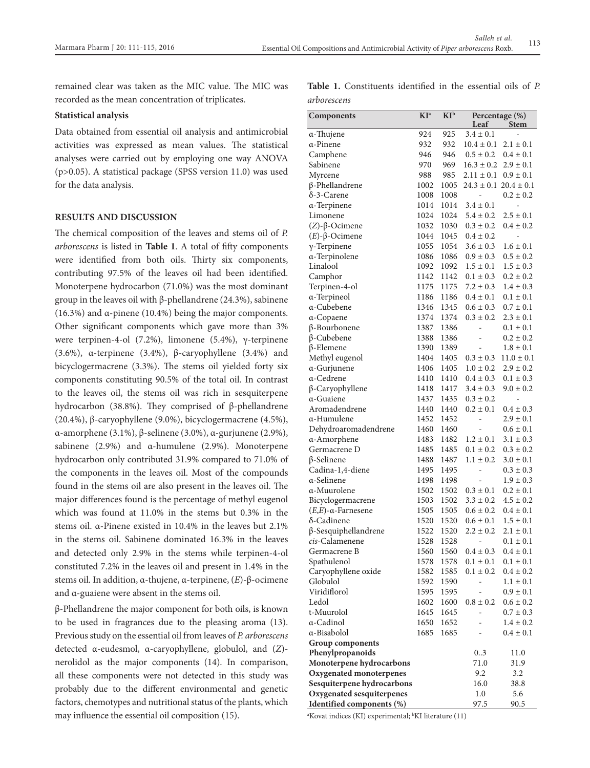remained clear was taken as the MIC value. The MIC was recorded as the mean concentration of triplicates.

# **Statistical analysis**

Data obtained from essential oil analysis and antimicrobial activities was expressed as mean values. The statistical analyses were carried out by employing one way ANOVA (p>0.05). A statistical package (SPSS version 11.0) was used for the data analysis.

#### **RESULTS AND DISCUSSION**

The chemical composition of the leaves and stems oil of *P. arborescens* is listed in **Table 1**. A total of fifty components were identified from both oils. Thirty six components, contributing 97.5% of the leaves oil had been identified. Monoterpene hydrocarbon (71.0%) was the most dominant group in the leaves oil with β-phellandrene (24.3%), sabinene (16.3%) and α-pinene (10.4%) being the major components. Other significant components which gave more than 3% were terpinen-4-ol (7.2%), limonene (5.4%), γ-terpinene (3.6%), α-terpinene (3.4%), β-caryophyllene (3.4%) and bicyclogermacrene (3.3%). The stems oil yielded forty six components constituting 90.5% of the total oil. In contrast to the leaves oil, the stems oil was rich in sesquiterpene hydrocarbon (38.8%). They comprised of β-phellandrene (20.4%), β-caryophyllene (9.0%), bicyclogermacrene (4.5%), α-amorphene (3.1%), β-selinene (3.0%), α-gurjunene (2.9%), sabinene (2.9%) and α-humulene (2.9%). Monoterpene hydrocarbon only contributed 31.9% compared to 71.0% of the components in the leaves oil. Most of the compounds found in the stems oil are also present in the leaves oil. The major differences found is the percentage of methyl eugenol which was found at 11.0% in the stems but 0.3% in the stems oil. α-Pinene existed in 10.4% in the leaves but 2.1% in the stems oil. Sabinene dominated 16.3% in the leaves and detected only 2.9% in the stems while terpinen-4-ol constituted 7.2% in the leaves oil and present in 1.4% in the stems oil. In addition, α-thujene, α-terpinene, (*E*)-β-ocimene and α-guaiene were absent in the stems oil.

β-Phellandrene the major component for both oils, is known to be used in fragrances due to the pleasing aroma (13). Previous study on the essential oil from leaves of *P. arborescens* detected α-eudesmol, α-caryophyllene, globulol, and (*Z*) nerolidol as the major components (14). In comparison, all these components were not detected in this study was probably due to the different environmental and genetic factors, chemotypes and nutritional status of the plants, which may influence the essential oil composition (15).

|             | <b>Table 1.</b> Constituents identified in the essential oils of P. |  |  |  |
|-------------|---------------------------------------------------------------------|--|--|--|
| arborescens |                                                                     |  |  |  |

| Components                    | KI <sup>a</sup> | $KI^b$ | Percentage (%)<br>Leaf<br><b>Stem</b> |                               |
|-------------------------------|-----------------|--------|---------------------------------------|-------------------------------|
| α-Thujene                     | 924             | 925    | $3.4 \pm 0.1$                         |                               |
| α-Pinene                      | 932             | 932    | $10.4 \pm 0.1$                        | $2.1 \pm 0.1$                 |
| Camphene                      | 946             | 946    | $0.5 \pm 0.2$                         | $0.4 \pm 0.1$                 |
| Sabinene                      | 970             | 969    | $16.3 \pm 0.2$                        | $2.9 \pm 0.1$                 |
| Myrcene                       | 988             | 985    | $2.11 \pm 0.1$                        | $0.9 \pm 0.1$                 |
| $\beta$ -Phellandrene         | 1002            | 1005   |                                       | $24.3 \pm 0.1$ $20.4 \pm 0.1$ |
| $\delta$ -3-Carene            | 1008            | 1008   |                                       | $0.2 \pm 0.2$                 |
| α-Terpinene                   | 1014            | 1014   | $3.4 \pm 0.1$                         | $\qquad \qquad \blacksquare$  |
| Limonene                      | 1024            | 1024   | $5.4 \pm 0.2$                         | $2.5\pm0.1$                   |
| $(Z)$ -β-Ocimene              | 1032            | 1030   | $0.3 \pm 0.2$                         | $0.4 \pm 0.2$                 |
| $(E)$ -β-Ocimene              | 1044            | 1045   | $0.4 \pm 0.2$                         | -                             |
| $\gamma$ -Terpinene           | 1055            | 1054   | $3.6 \pm 0.3$                         | $1.6 \pm 0.1$                 |
| a-Terpinolene                 | 1086            | 1086   | $0.9 \pm 0.3$                         | $0.5 \pm 0.2$                 |
| Linalool                      | 1092            | 1092   | $1.5 \pm 0.1$                         | $1.5 \pm 0.3$                 |
| Camphor                       | 1142            | 1142   | $0.1 \pm 0.3$                         | $0.2 \pm 0.2$                 |
| Terpinen-4-ol                 | 1175            | 1175   | $7.2 \pm 0.3$                         | $1.4 \pm 0.3$                 |
| α-Terpineol                   | 1186            | 1186   | $0.4 \pm 0.1$                         | $0.1 \pm 0.1$                 |
| a-Cubebene                    | 1346            | 1345   | $0.6 \pm 0.3$                         | $0.7 \pm 0.1$                 |
| a-Copaene                     | 1374            | 1374   | $0.3 \pm 0.2$                         | $2.3 \pm 0.1$                 |
| β-Bourbonene                  | 1387            | 1386   | $\overline{\phantom{0}}$              | $0.1 \pm 0.1$                 |
| $\beta$ -Cubebene             | 1388            | 1386   |                                       | $0.2 \pm 0.2$                 |
| $\beta$ -Elemene              | 1390            | 1389   |                                       | $1.8 \pm 0.1$                 |
| Methyl eugenol                | 1404            | 1405   | $0.3 \pm 0.3$                         | $11.0 \pm 0.1$                |
| a-Gurjunene                   | 1406            | 1405   | $1.0 \pm 0.2$                         | $2.9 \pm 0.2$                 |
| a-Cedrene                     | 1410            | 1410   | $0.4 \pm 0.3$                         | $0.1 \pm 0.3$                 |
| β-Caryophyllene               | 1418            | 1417   | $3.4 \pm 0.3$                         | $9.0 \pm 0.2$                 |
| α-Guaiene                     | 1437            | 1435   | $0.3 \pm 0.2$                         | $\qquad \qquad \blacksquare$  |
| Aromadendrene                 | 1440            | 1440   | $0.2 \pm 0.1$                         | $0.4 \pm 0.3$                 |
| α-Humulene                    | 1452            | 1452   | $\overline{\phantom{0}}$              | $2.9 \pm 0.1$                 |
| Dehydroaromadendrene          | 1460            | 1460   | ÷,                                    | $0.6 \pm 0.1$                 |
| α-Amorphene                   | 1483            | 1482   | $1.2 \pm 0.1$                         | $3.1 \pm 0.3$                 |
| Germacrene D                  | 1485            | 1485   | $0.1 \pm 0.2$                         | $0.3 \pm 0.2$                 |
| $\beta$ -Selinene             | 1488            | 1487   | $1.1 \pm 0.2$                         | $3.0 \pm 0.1$                 |
| Cadina-1,4-diene              | 1495            | 1495   | ÷,                                    | $0.3 \pm 0.3$                 |
| α-Selinene                    | 1498            | 1498   |                                       | $1.9 \pm 0.3$                 |
| α-Muurolene                   | 1502            | 1502   | $0.3 \pm 0.1$                         | $0.2 \pm 0.1$                 |
| Bicyclogermacrene             | 1503            | 1502   | $3.3 \pm 0.2$                         | $4.5 \pm 0.2$                 |
| $(E,E)$ - $\alpha$ -Farnesene | 1505            | 1505   | $0.6 \pm 0.2$                         | $0.4 \pm 0.1$                 |
| $\delta$ -Cadinene            | 1520            | 1520   | $0.6 \pm 0.1$                         | $1.5 \pm 0.1$                 |
| $\beta$ -Sesquiphellandrene   | 1522            | 1520   | $2.2 \pm 0.2$                         | $2.1 \pm 0.1$                 |
| cis-Calamenene                | 1528            | 1528   |                                       | $0.1 \pm 0.1$                 |
| Germacrene B                  | 1560            | 1560   | $0.4 \pm 0.3$                         | $0.4 \pm 0.1$                 |
| Spathulenol                   | 1578            | 1578   | $0.1 \pm 0.1$                         | $0.1 \pm 0.1$                 |
| Caryophyllene oxide           | 1582            | 1585   | $0.1 \pm 0.2$                         | $0.4 \pm 0.2$                 |
| Globulol                      | 1592            | 1590   |                                       | $1.1 \pm 0.1$                 |
| Viridiflorol                  | 1595            | 1595   |                                       | $0.9 \pm 0.1$                 |
| Ledol                         | 1602            | 1600   | $0.8 \pm 0.2$                         | $0.6 \pm 0.2$                 |
| t-Muurolol                    | 1645            | 1645   | $\overline{\phantom{0}}$              | $0.7 \pm 0.3$                 |
| α-Cadinol                     | 1650            | 1652   |                                       | $1.4 \pm 0.2$                 |
| α-Bisabolol                   | 1685            | 1685   |                                       | $0.4 \pm 0.1$                 |
| Group components              |                 |        |                                       |                               |
| Phenylpropanoids              |                 |        | 03                                    | 11.0                          |
| Monoterpene hydrocarbons      |                 |        | 71.0                                  | 31.9                          |
| Oxygenated monoterpenes       |                 |        | 9.2                                   | 3.2                           |
| Sesquiterpene hydrocarbons    |                 |        | 16.0                                  | 38.8                          |
| Oxygenated sesquiterpenes     |                 |        | $1.0\,$                               | 5.6                           |
| Identified components (%)     |                 |        | 97.5                                  | 90.5                          |

<sup>a</sup>Kovat indices (KI) experimental; <sup>b</sup>KI literature (11)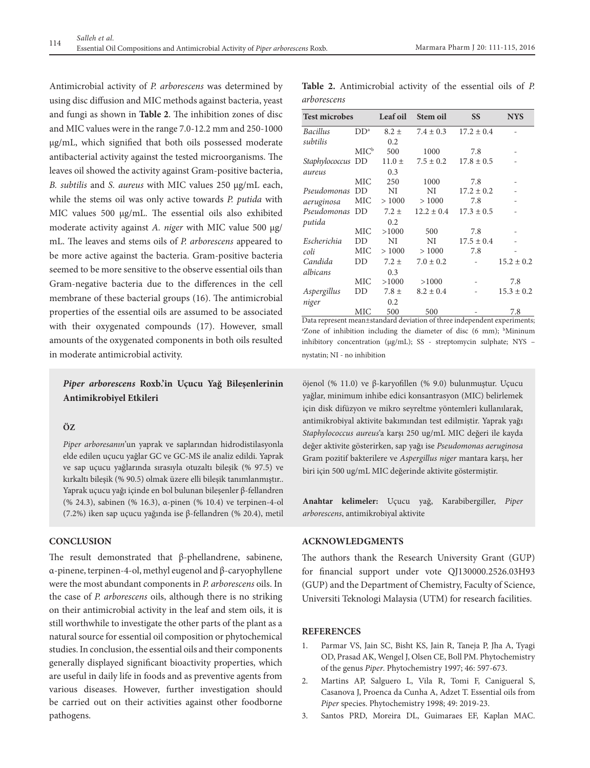Antimicrobial activity of *P. arborescens* was determined by using disc diffusion and MIC methods against bacteria, yeast and fungi as shown in **Table 2**. The inhibition zones of disc and MIC values were in the range 7.0-12.2 mm and 250-1000 µg/mL, which signified that both oils possessed moderate antibacterial activity against the tested microorganisms. The leaves oil showed the activity against Gram-positive bacteria, *B. subtilis* and *S. aureus* with MIC values 250 µg/mL each, while the stems oil was only active towards *P. putida* with MIC values 500 µg/mL. The essential oils also exhibited moderate activity against *A. niger* with MIC value 500 µg/ mL. The leaves and stems oils of *P. arborescens* appeared to be more active against the bacteria. Gram-positive bacteria seemed to be more sensitive to the observe essential oils than Gram-negative bacteria due to the differences in the cell membrane of these bacterial groups (16). The antimicrobial properties of the essential oils are assumed to be associated with their oxygenated compounds (17). However, small amounts of the oxygenated components in both oils resulted in moderate antimicrobial activity.

# *Piper arborescens* **Roxb.'in Uçucu Yağ Bileşenlerinin Antimikrobiyel Etkileri**

# **ÖZ**

*Piper arboresanın*'un yaprak ve saplarından hidrodistilasyonla elde edilen uçucu yağlar GC ve GC-MS ile analiz edildi. Yaprak ve sap uçucu yağlarında sırasıyla otuzaltı bileşik (% 97.5) ve kırkaltı bileşik (% 90.5) olmak üzere elli bileşik tanımlanmıştır.. Yaprak uçucu yağı içinde en bol bulunan bileşenler β-fellandren (% 24.3), sabinen (% 16.3), α-pinen (% 10.4) ve terpinen-4-ol (7.2%) iken sap uçucu yağında ise β-fellandren (% 20.4), metil

# **CONCLUSION**

The result demonstrated that β-phellandrene, sabinene, α-pinene, terpinen-4-ol, methyl eugenol and β-caryophyllene were the most abundant components in *P. arborescens* oils. In the case of *P. arborescens* oils, although there is no striking on their antimicrobial activity in the leaf and stem oils, it is still worthwhile to investigate the other parts of the plant as a natural source for essential oil composition or phytochemical studies. In conclusion, the essential oils and their components generally displayed significant bioactivity properties, which are useful in daily life in foods and as preventive agents from various diseases. However, further investigation should be carried out on their activities against other foodborne pathogens.

**Table 2.** Antimicrobial activity of the essential oils of *P. arborescens*

| <b>Test microbes</b> |                 | Leaf oil   | Stem oil       | <b>SS</b>      | <b>NYS</b>     |
|----------------------|-----------------|------------|----------------|----------------|----------------|
| <b>Bacillus</b>      | DD <sup>a</sup> | $8.2 \pm$  | $7.4 \pm 0.3$  | $17.2 \pm 0.4$ |                |
| subtilis             |                 | 0.2        |                |                |                |
|                      | $MIC^b$         | 500        | 1000           | 7.8            |                |
| Staphylococcus DD    |                 | $11.0 \pm$ | $7.5 \pm 0.2$  | $17.8 \pm 0.5$ |                |
| aureus               |                 | 0.3        |                |                |                |
|                      | <b>MIC</b>      | 250        | 1000           | 7.8            |                |
| Pseudomonas          | DD              | NI         | NI             | $17.2 \pm 0.2$ |                |
| aeruginosa           | <b>MIC</b>      | >1000      | >1000          | 7.8            |                |
| Pseudomonas          | DD              | $7.2 \pm$  | $12.2 \pm 0.4$ | $17.3 \pm 0.5$ |                |
| putida               |                 | 0.2        |                |                |                |
|                      | <b>MIC</b>      | >1000      | 500            | 7.8            |                |
| Escherichia          | DD              | NI         | NI             | $17.5 \pm 0.4$ |                |
| coli                 | <b>MIC</b>      | >1000      | >1000          | 7.8            |                |
| Candida              | DD              | $7.2 \pm$  | $7.0 \pm 0.2$  |                | $15.2 \pm 0.2$ |
| albicans             |                 | 0.3        |                |                |                |
|                      | MIC             | >1000      | >1000          |                | 7.8            |
| Aspergillus          | DD              | $7.8 \pm$  | $8.2 \pm 0.4$  |                | $15.3 \pm 0.2$ |
| niger                |                 | 0.2        |                |                |                |
|                      | МIС             | 500        | 500            |                | 7.8            |

Data represent mean±standard deviation of three independent experiments; <sup>a</sup>Zone of inhibition including the diameter of disc (6 mm); <sup>b</sup>Mininum inhibitory concentration (µg/mL); SS - streptomycin sulphate; NYS nystatin; NI - no inhibition

öjenol (% 11.0) ve β-karyofillen (% 9.0) bulunmuştur. Uçucu yağlar, minimum inhibe edici konsantrasyon (MIC) belirlemek için disk difüzyon ve mikro seyreltme yöntemleri kullanılarak, antimikrobiyal aktivite bakımından test edilmiştir. Yaprak yağı *Staphylococcus aureus*'a karşı 250 ug/mL MIC değeri ile kayda değer aktivite gösterirken, sap yağı ise *Pseudomonas aeruginosa* Gram pozitif bakterilere ve *Aspergillus niger* mantara karşı, her biri için 500 ug/mL MIC değerinde aktivite göstermiştir.

**Anahtar kelimeler:** Uçucu yağ, Karabibergiller, *Piper arborescens*, antimikrobiyal aktivite

# **ACKNOWLEDGMENTS**

The authors thank the Research University Grant (GUP) for financial support under vote QJ130000.2526.03H93 (GUP) and the Department of Chemistry, Faculty of Science, Universiti Teknologi Malaysia (UTM) for research facilities.

# **REFERENCES**

- 1. Parmar VS, Jain SC, Bisht KS, Jain R, Taneja P, Jha A, Tyagi OD, Prasad AK, Wengel J, Olsen CE, Boll PM. Phytochemistry of the genus *Piper*. Phytochemistry 1997; 46: 597-673.
- 2. Martins AP, Salguero L, Vila R, Tomi F, Canigueral S, Casanova J, Proenca da Cunha A, Adzet T. Essential oils from *Piper* species. Phytochemistry 1998; 49: 2019-23.
- 3. Santos PRD, Moreira DL, Guimaraes EF, Kaplan MAC.